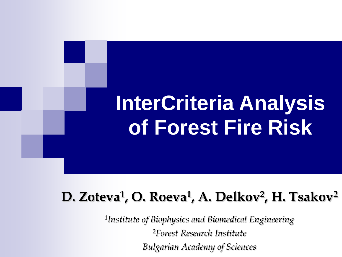# **InterCriteria Analysis of Forest Fire Risk**

# **D. Zoteva<sup>1</sup> , O. Roeva<sup>1</sup> , A. Delkov<sup>2</sup> , H. Tsakov<sup>2</sup>**

1 *Institute of Biophysics and Biomedical Engineering* <sup>2</sup>*Forest Research Institute Bulgarian Academy of Sciences*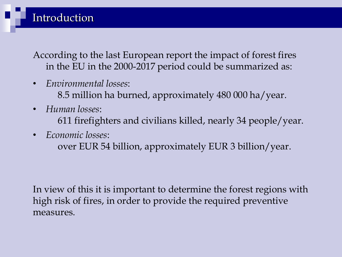According to the last European report the impact of forest fires in the EU in the 2000-2017 period could be summarized as:

- *Environmental losses*:
	- 8.5 million ha burned, approximately 480 000 ha/year.
- *Human losses*: 611 firefighters and civilians killed, nearly 34 people/year.
- *Economic losses*:

over EUR 54 billion, approximately EUR 3 billion/year.

In view of this it is important to determine the forest regions with high risk of fires, in order to provide the required preventive measures.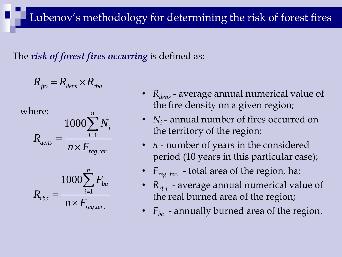The *risk of forest fires occurring* is defined as:

$$
R_{\text{ffo}} = R_{\text{dens}} \times R_{\text{rba}}
$$

where:

Here:  
\n
$$
R_{dens} = \frac{1000 \sum_{i=1}^{n} N_i}{n \times F_{reg.ter.}}
$$

$$
R_{rba} = \frac{1000 \sum_{i=1}^{n} F_{ba}}{n \times F_{reg.ter.}}
$$

- *R*<sub>dens</sub> average annual numerical value of the fire density on a given region;
- *N*<sub>*i*</sub> annual number of fires occurred on the territory of the region;
- *n* number of years in the considered period (10 years in this particular case);
- *Freg. ter.* total area of the region, ha;
- *Rrba* average annual numerical value of the real burned area of the region;
- $F_{ba}$  annually burned area of the region.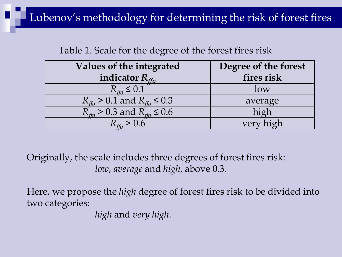#### Lubenov's methodology for determining the risk of forest fires

#### Table 1. Scale for the degree of the forest fires risk

| Values of the integrated                                | Degree of the forest |
|---------------------------------------------------------|----------------------|
| indicator $R_{ffo}$                                     | fires risk           |
| $R_{\text{ffo}} \leq 0.1$                               | low                  |
| $R_{\text{ffo}} > 0.1$ and $R_{\text{ffo}} \leq 0.3$    | average              |
| $R_{\text{ffo}}^2 > 0.3$ and $R_{\text{ffo}}^3 \le 0.6$ | high                 |
|                                                         | very high            |

Originally, the scale includes three degrees of forest fires risk: *low*, *average* and *high*, above 0.3.

Here, we propose the *high* degree of forest fires risk to be divided into two categories:

*high* and *very high*.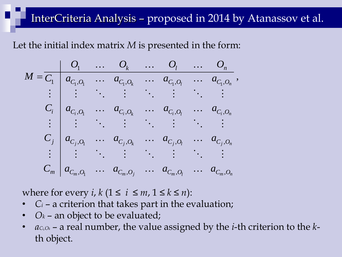#### InterCriteria Analysis – proposed in 2014 by Atanassov et al.

Let the initial index matrix M is presented in the form:  
\n
$$
M = \frac{O_1}{C_1} \begin{array}{ccccccccc} & O_1 & \cdots & O_k & \cdots & O_l & \cdots & O_n \\ a_{C_1, O_1} & \cdots & a_{C_1, O_k} & \cdots & a_{C_1, O_l} & \cdots & a_{C_1, O_n} \\ \vdots & \vdots & \ddots & \vdots & \ddots & \vdots & \ddots & \vdots \\ a_{C_i, O_1} & \cdots & a_{C_i, O_k} & \cdots & a_{C_i, O_l} & \cdots & a_{C_i, O_n} \\ \vdots & \vdots & \ddots & \vdots & \ddots & \vdots & \ddots & \vdots \\ a_{C_j, O_1} & \cdots & a_{C_j, O_k} & \cdots & a_{C_j, O_l} & \cdots & a_{C_j, O_n} \\ \vdots & \vdots & \ddots & \vdots & \ddots & \vdots & \ddots & \vdots \\ a_{C_m, O_1} & \cdots & a_{C_m, O_j} & \cdots & a_{C_m, O_l} & \cdots & a_{C_m, O_n} \end{array}
$$

where for every *i*,  $k$  ( $1 \le i \le m$ ,  $1 \le k \le n$ ):

- $C_i$  a criterion that takes part in the evaluation;
- $O_k$  an object to be evaluated;
- *a<sup>C</sup>i,O<sup>k</sup>* a real number, the value assigned by the *i*-th criterion to the *k*th object.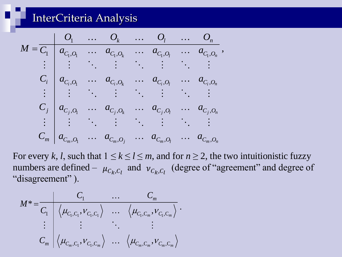**InterCriteria Analysis**  
\n
$$
M = \frac{O_1 \cdots O_k \cdots O_l \cdots O_n}{C_1 \begin{bmatrix} a_{C_1, O_1} & \cdots & a_{C_1, O_k} & \cdots & a_{C_1, O_l} & \cdots & a_{C_1, O_n} \\ \vdots & \vdots & \ddots & \vdots & \ddots & \vdots & \vdots \\ a_{C_i, O_1} & \cdots & a_{C_i, O_k} & \cdots & a_{C_i, O_l} & \cdots & a_{C_i, O_n} \\ \vdots & \vdots & \ddots & \vdots & \ddots & \vdots & \vdots \\ a_{C_j, O_1} & \cdots & a_{C_j, O_k} & \cdots & a_{C_j, O_l} & \cdots & a_{C_j, O_n} \\ \vdots & \vdots & \ddots & \vdots & \ddots & \vdots & \vdots \\ a_{C_m, O_1} & \cdots & a_{C_m, O_j} & \cdots & a_{C_m, O_l} & \cdots & a_{C_m, O_n} \end{bmatrix}
$$

For every *k*, *l*, such that  $1 \le k \le l \le m$ , and for  $n \ge 2$ , the two intuitionistic fuzzy numbers are defined –  $\mu_{C_k, C_l}$  and  $\nu_{C_k, C_l}$  (degree of "agreement" and degree of "disagreement").

$$
\begin{aligned}\n\text{disagreement''}.\\ \nM^* &= \frac{C_1}{C_1} \left\langle \mu_{C_1, C_1}, V_{C_1, C_1} \right\rangle \quad \cdots \quad \left\langle \mu_{C_1, C_m}, V_{C_1, C_m} \right\rangle \\ \n\vdots \quad \vdots \quad \ddots \quad \vdots \\ \nC_m \left\langle \mu_{C_m, C_1}, V_{C_1, C_m} \right\rangle \quad \cdots \quad \left\langle \mu_{C_m, C_m}, V_{C_m, C_m} \right\rangle\n\end{aligned}
$$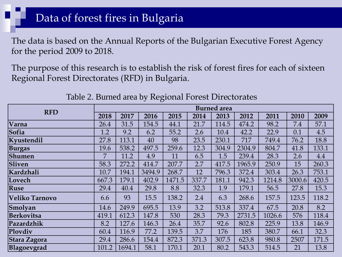#### Data of forest fires in Bulgaria

The data is based on the Annual Reports of the Bulgarian Executive Forest Agency for the period 2009 to 2018.

The purpose of this research is to establish the risk of forest fires for each of sixteen Regional Forest Directorates (RFD) in Bulgaria.

| <b>RFD</b>            | <b>Burned</b> area |        |        |        |       |       |        |        |        |       |  |  |  |
|-----------------------|--------------------|--------|--------|--------|-------|-------|--------|--------|--------|-------|--|--|--|
|                       | 2018               | 2017   | 2016   | 2015   | 2014  | 2013  | 2012   | 2011   | 2010   | 2009  |  |  |  |
| Varna                 | 26.4               | 31.5   | 154.5  | 44.1   | 21.7  | 114.5 | 474.2  | 98.2   | 7.4    | 57.1  |  |  |  |
| Sofia                 | 1.2                | 9.2    | 6.2    | 55.2   | 2.6   | 10.4  | 42.2   | 22.9   | 0.1    | 4.5   |  |  |  |
| Kyustendil            | 27.8               | 113.1  | 40     | 98     | 23.5  | 230.1 | 717    | 749.4  | 76.2   | 18.8  |  |  |  |
| <b>Burgas</b>         | 19.6               | 538.2  | 497.5  | 259.6  | 12.3  | 304.9 | 2304.9 | 804.7  | 41.8   | 133.1 |  |  |  |
| Shumen                | 7                  | 11.2   | 4.9    | 11     | 6.5   | 1.5   | 239.4  | 28.3   | 2.6    | 4.4   |  |  |  |
| Sliven                | 58.3               | 272.2  | 414.7  | 207.7  | 2.7   | 417.5 | 1965.9 | 250.9  | 15     | 260.3 |  |  |  |
| Kardzhali             | 10.7               | 194.1  | 3494.9 | 268.7  | 12    | 796.3 | 372.4  | 303.4  | 26.3   | 753.1 |  |  |  |
| Lovech                | 667.3              | 179.1  | 402.9  | 1471.5 | 337.7 | 181.1 | 942.3  | 1214.8 | 3000.6 | 420.5 |  |  |  |
| Ruse                  | 29.4               | 40.4   | 29.8   | 8.8    | 32.3  | 1.9   | 179.1  | 56.5   | 27.8   | 15.3  |  |  |  |
| <b>Veliko Tarnovo</b> | 6.6                | 93     | 15.5   | 138.2  | 2.4   | 6.3   | 268.6  | 157.5  | 123.5  | 118.2 |  |  |  |
| Smolyan               | 14.6               | 249.9  | 695.5  | 13.9   | 3.2   | 513.8 | 337.4  | 67.5   | 20.8   | 8.2   |  |  |  |
| <b>Berkovitsa</b>     | 419.1              | 612.3  | 147.8  | 530    | 28.3  | 79.3  | 2731.5 | 1026.6 | 576    | 118.4 |  |  |  |
| Pazardzhik            | 8.2                | 127.6  | 146.3  | 26.4   | 35.7  | 92.6  | 802.8  | 225.9  | 13.8   | 146.9 |  |  |  |
| Plovdiv               | 60.4               | 116.9  | 77.2   | 139.5  | 3.7   | 176   | 185    | 380.7  | 66.1   | 32.3  |  |  |  |
| Stara Zagora          | 29.4               | 286.6  | 154.4  | 872.3  | 371.3 | 307.5 | 623.8  | 980.8  | 2507   | 171.5 |  |  |  |
| Blagoevgrad           | 101.2              | 1694.1 | 58.1   | 170.1  | 20.1  | 80.2  | 543.3  | 514.5  | 21     | 13.8  |  |  |  |

Table 2. Burned area by Regional Forest Directorates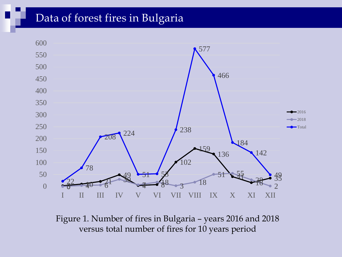#### Data of forest fires in Bulgaria



Figure 1. Number of fires in Bulgaria – years 2016 and 2018 versus total number of fires for 10 years period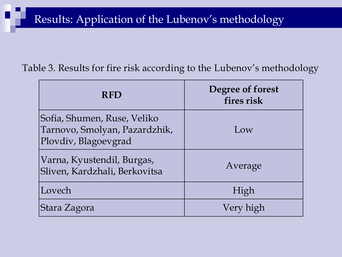#### Results: Application of the Lubenov's methodology

#### Table 3. Results for fire risk according to the Lubenov's methodology

| <b>RFD</b>                                                                           | Degree of forest<br>fires risk |
|--------------------------------------------------------------------------------------|--------------------------------|
| Sofia, Shumen, Ruse, Veliko<br>Tarnovo, Smolyan, Pazardzhik,<br>Plovdiv, Blagoevgrad | Low                            |
| Varna, Kyustendil, Burgas,<br>Sliven, Kardzhali, Berkovitsa                          | Average                        |
| Lovech                                                                               | High                           |
| Stara Zagora                                                                         | Very high                      |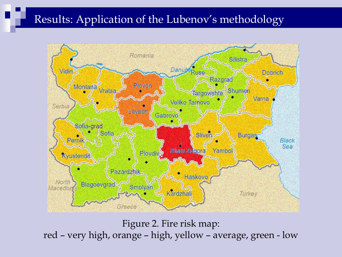#### Results: Application of the Lubenov's methodology



Figure 2. Fire risk map: red – very high, orange – high, yellow – average, green - low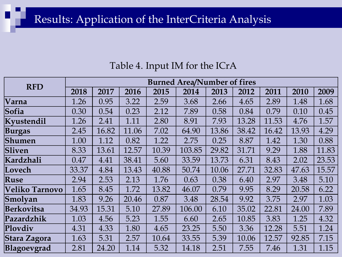### Results: Application of the InterCriteria Analysis

#### Table 4. Input IM for the ICrA

|                       | <b>Burned Area/Number of fires</b> |       |       |       |        |       |       |       |       |       |  |  |  |  |
|-----------------------|------------------------------------|-------|-------|-------|--------|-------|-------|-------|-------|-------|--|--|--|--|
| <b>RFD</b>            | 2018                               | 2017  | 2016  | 2015  | 2014   | 2013  | 2012  | 2011  | 2010  | 2009  |  |  |  |  |
| Varna                 | 1.26                               | 0.95  | 3.22  | 2.59  | 3.68   | 2.66  | 4.65  | 2.89  | 1.48  | 1.68  |  |  |  |  |
| Sofia                 | 0.30                               | 0.54  | 0.23  | 2.12  | 7.89   | 0.58  | 0.84  | 0.79  | 0.10  | 0.45  |  |  |  |  |
| Kyustendil            | 1.26                               | 2.41  | 1.11  | 2.80  | 8.91   | 7.93  | 13.28 | 11.53 | 4.76  | 1.57  |  |  |  |  |
| <b>Burgas</b>         | 2.45                               | 16.82 | 11.06 | 7.02  | 64.90  | 13.86 | 38.42 | 16.42 | 13.93 | 4.29  |  |  |  |  |
| Shumen                | 1.00                               | 1.12  | 0.82  | 1.22  | 2.75   | 0.25  | 8.87  | 1.42  | 1.30  | 0.88  |  |  |  |  |
| Sliven                | 8.33                               | 13.61 | 12.57 | 10.39 | 103.85 | 29.82 | 31.71 | 9.29  | 1.88  | 11.83 |  |  |  |  |
| Kardzhali             | 0.47                               | 4.41  | 38.41 | 5.60  | 33.59  | 13.73 | 6.31  | 8.43  | 2.02  | 23.53 |  |  |  |  |
| Lovech                | 33.37                              | 4.84  | 13.43 | 40.88 | 50.74  | 10.06 | 27.71 | 32.83 | 47.63 | 15.57 |  |  |  |  |
| Ruse                  | 2.94                               | 2.53  | 2.13  | 1.76  | 0.63   | 0.38  | 6.40  | 2.97  | 3.48  | 5.10  |  |  |  |  |
| <b>Veliko Tarnovo</b> | 1.65                               | 8.45  | 1.72  | 13.82 | 46.07  | 0.79  | 9.95  | 8.29  | 20.58 | 6.22  |  |  |  |  |
| Smolyan               | 1.83                               | 9.26  | 20.46 | 0.87  | 3.48   | 28.54 | 9.92  | 3.75  | 2.97  | 1.03  |  |  |  |  |
| Berkovitsa            | 34.93                              | 15.31 | 5.10  | 27.89 | 106.00 | 6.10  | 35.02 | 22.81 | 24.00 | 7.89  |  |  |  |  |
| Pazardzhik            | 1.03                               | 4.56  | 5.23  | 1.55  | 6.60   | 2.65  | 10.85 | 3.83  | 1.25  | 4.32  |  |  |  |  |
| Plovdiv               | 4.31                               | 4.33  | 1.80  | 4.65  | 23.25  | 5.50  | 3.36  | 12.28 | 5.51  | 1.24  |  |  |  |  |
| Stara Zagora          | 1.63                               | 5.31  | 2.57  | 10.64 | 33.55  | 5.39  | 10.06 | 12.57 | 92.85 | 7.15  |  |  |  |  |
| Blagoevgrad           | 2.81                               | 24.20 | 1.14  | 5.32  | 14.18  | 2.51  | 7.55  | 7.46  | 1.31  | 1.15  |  |  |  |  |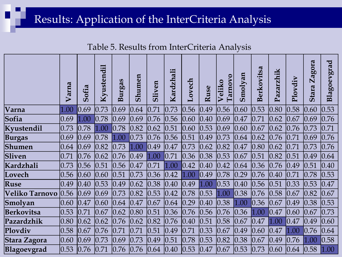### Results: Application of the InterCriteria Analysis

Table 5. Results from InterCriteria Analysis

|                       | Varna          | Sofia          | Kyustendil | Burgas | Shumen | Sliven         | Kardzhali      | ${\bf Loves}$  | Ruse           | <b>Tarnovo</b><br>Veliko | Smolyan        | Berkovitsa     | zarzhik<br>Pa  | Plovdiv | gora<br>$\mathbf{Z}$ a<br>Stara | Blagoevgrad    |
|-----------------------|----------------|----------------|------------|--------|--------|----------------|----------------|----------------|----------------|--------------------------|----------------|----------------|----------------|---------|---------------------------------|----------------|
| Varna                 | 1.00           | 0.69           | 0.73       | 0.69   | 0.64   | 0.71           | 0.73           | 0.56           | 0.49           | 0.56                     | 0.60           | 0.53           | 0.80           | 0.58    | 0.60                            | 0.53           |
| Sofia                 | 0.69           | 1.00           | 0.78       | 0.69   | 0.69   | 0.76           | 0.56           | 0.60           | $ 0.40\rangle$ | 0.69                     | 0.47           | 0.71           | 0.62           | 0.67    | 0.69                            | 0.76           |
| Kyustendil            | 0.73           | 0.78           | 1.00       | 0.78   | 0.82   | 0.62           | 0.51           | 0.60           | 0.53           | 0.69                     | 0.60           | 0.67           | 0.62           | 0.76    | 0.73                            | 0.71           |
| <b>Burgas</b>         | 0.69           | 0.69           | 0.78       | 1.00   | 0.73   | 0.76           | 0.56           | 0.51           | $ 0.49\rangle$ | 0.73                     | 0.64           | 0.62           | 0.76           | 0.71    | 0.69                            | 0.76           |
| Shumen                | 0.64           | 0.69           | 0.82       | 0.73   | 1.00   | $ 0.49\rangle$ | 0.47           | 0.73           | 0.62           | 0.82                     | 0.47           | $ 0.80\rangle$ | 0.62           | 0.71    | 0.73                            | 0.76           |
| Sliven                | 0.71           | 0.76           | 0.62       | 0.76   | 0.49   | 1.00           | 0.71           | 0.36           | 0.38           | 0.53                     | 0.67           | 0.51           | 0.82           | 0.51    | 0.49                            | 0.64           |
| Kardzhali             | 0.73           | 0.56           | 0.51       | 0.56   | 0.47   | 0.71           | 1.00           | 0.42           | $ 0.40\rangle$ | 0.42                     | 0.64           | 0.36           | 0.76           | 0.49    | 0.51                            | $ 0.40\rangle$ |
| Lovech                | 0.56           | 0.60           | 0.60       | 0.51   | 0.73   | 0.36           | $ 0.42\rangle$ | 1.00           | $ 0.49\rangle$ | 0.78                     | $ 0.29\rangle$ | 0.76           | $ 0.40\rangle$ | 0.71    | 0.78                            | 0.53           |
| Ruse                  | $ 0.49\rangle$ | $ 0.40\rangle$ | 0.53       | 0.49   | 0.62   | 0.38           | $ 0.40\rangle$ | 0.49           | 1.00           | 0.53                     | $ 0.40\rangle$ | 0.56           | 0.51           | 0.33    | 0.53                            | 0.47           |
| <b>Veliko Tarnovo</b> | 0.56           | 0.69           | 0.69       | 0.73   | 0.82   | 0.53           | 0.42           | 0.78           | 0.53           | 1.00                     | 0.38           | 0.76           | 0.58           | 0.67    | 0.82                            | 0.67           |
| Smolyan               | 0.60           | 0.47           | 0.60       | 0.64   | 0.47   | 0.67           | 0.64           | 0.29           | $ 0.40\rangle$ | 0.38                     | 1.00           | 0.36           | 0.67           | 0.49    | 0.38                            | 0.53           |
| Berkovitsa            | 0.53           | 0.71           | 0.67       | 0.62   | 0.80   | 0.51           | 0.36           | 0.76           | 0.56           | 0.76                     | 0.36           | 1.00           | 0.47           | 0.60    | 0.67                            | 0.73           |
| Pazardzhik            | $ 0.80\rangle$ | 0.62           | 0.62       | 0.76   | 0.62   | 0.82           | 0.76           | $ 0.40\rangle$ | 0.51           | 0.58                     | 0.67           | 0.47           | 1.00           | 0.47    | 0.49                            | 0.60           |
| Plovdiv               | 0.58           | 0.67           | 0.76       | 0.71   | 0.71   | 0.51           | 0.49           | 0.71           | 0.33           | 0.67                     | $ 0.49\rangle$ | 0.60           | 0.47           | 1.00    | 0.76                            | 0.64           |
| <b>Stara Zagora</b>   | 0.60           | 0.69           | 0.73       | 0.69   | 0.73   | $ 0.49\rangle$ | 0.51           | 0.78           | 0.53           | 0.82                     | 0.38           | 0.67           | $ 0.49\rangle$ | 0.76    | 1.00                            | 0.58           |
| Blagoevgrad           | 0.53           | 0.76           | 0.71       | 0.76   | 0.76   | 0.64           | $ 0.40\rangle$ | 0.53           | $ 0.47\rangle$ | 0.67                     | 0.53           | 0.73           | 0.60           | 0.64    | 0.58                            | 1.00           |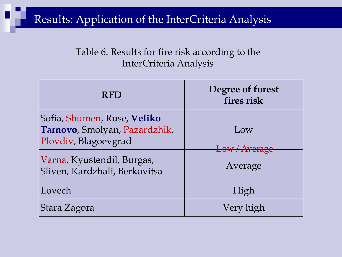#### Results: Application of the InterCriteria Analysis

#### Table 6. Results for fire risk according to the InterCriteria Analysis

| <b>RFD</b>                                                                           | Degree of forest<br>fires risk |
|--------------------------------------------------------------------------------------|--------------------------------|
| Sofia, Shumen, Ruse, Veliko<br>Tarnovo, Smolyan, Pazardzhik,<br>Plovdiv, Blagoevgrad | Low<br>Low / Average           |
| Varna, Kyustendil, Burgas,<br>Sliven, Kardzhali, Berkovitsa                          | Average                        |
| Lovech                                                                               | High                           |
| Stara Zagora                                                                         | Very high                      |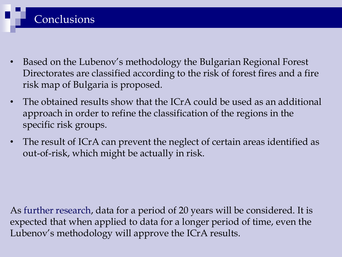- Based on the Lubenov's methodology the Bulgarian Regional Forest Directorates are classified according to the risk of forest fires and a fire risk map of Bulgaria is proposed.
- The obtained results show that the ICrA could be used as an additional approach in order to refine the classification of the regions in the specific risk groups.
- The result of ICrA can prevent the neglect of certain areas identified as out-of-risk, which might be actually in risk.

As further research, data for a period of 20 years will be considered. It is expected that when applied to data for a longer period of time, even the Lubenov's methodology will approve the ICrA results.